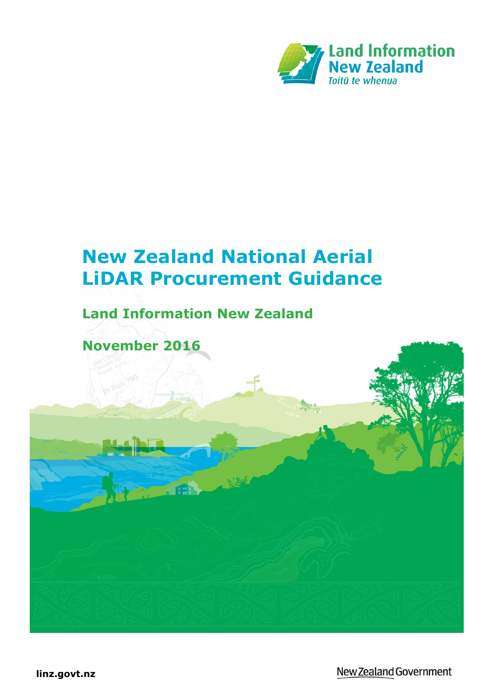

# **New Zealand National Aerial LiDAR Procurement Guidance**

## **Land Information New Zealand**

**November 2016**

**linz.govt.nz**

New Zealand Government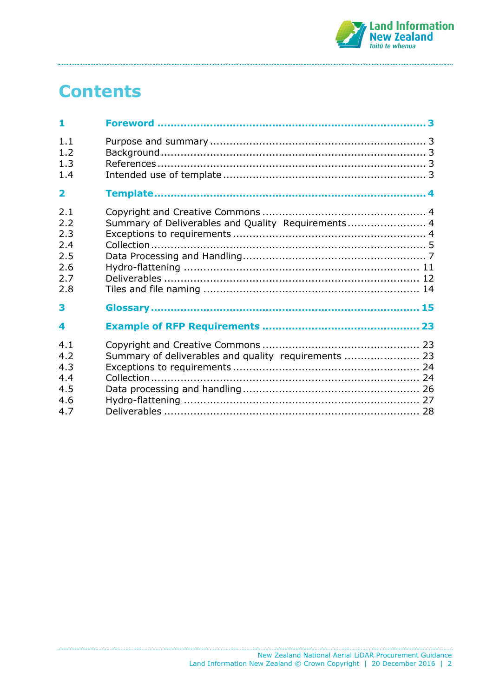

# **Contents**

| 1                                                    |                                                      |  |
|------------------------------------------------------|------------------------------------------------------|--|
| 1.1<br>1.2<br>1.3<br>1.4                             |                                                      |  |
| $\overline{\mathbf{2}}$                              |                                                      |  |
| 2.1<br>2.2<br>2.3<br>2.4<br>2.5<br>2.6<br>2.7<br>2.8 | Summary of Deliverables and Quality Requirements 4   |  |
| 3                                                    |                                                      |  |
| 4                                                    |                                                      |  |
| 4.1<br>4.2<br>4.3<br>4.4<br>4.5<br>4.6               | Summary of deliverables and quality requirements  23 |  |
| 4.7                                                  |                                                      |  |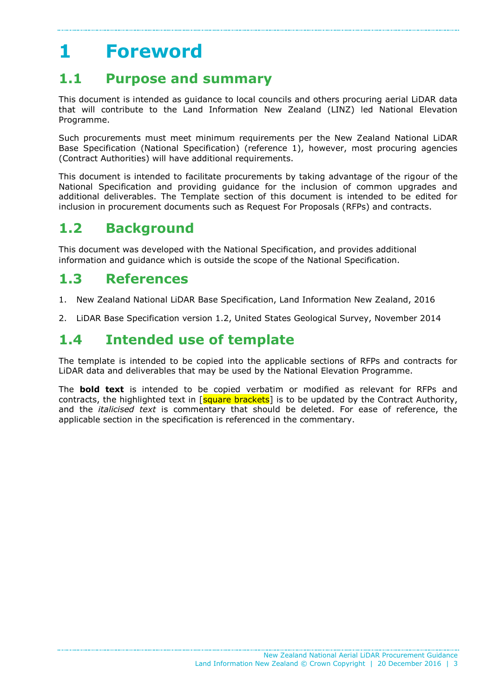# <span id="page-2-0"></span>**1 Foreword**

## <span id="page-2-1"></span>**1.1 Purpose and summary**

This document is intended as guidance to local councils and others procuring aerial LiDAR data that will contribute to the Land Information New Zealand (LINZ) led National Elevation Programme.

Such procurements must meet minimum requirements per the New Zealand National LiDAR Base Specification (National Specification) (reference 1), however, most procuring agencies (Contract Authorities) will have additional requirements.

This document is intended to facilitate procurements by taking advantage of the rigour of the National Specification and providing guidance for the inclusion of common upgrades and additional deliverables. The Template section of this document is intended to be edited for inclusion in procurement documents such as Request For Proposals (RFPs) and contracts.

## <span id="page-2-2"></span>**1.2 Background**

This document was developed with the National Specification, and provides additional information and guidance which is outside the scope of the National Specification.

## <span id="page-2-3"></span>**1.3 References**

- 1. New Zealand National LiDAR Base Specification, Land Information New Zealand, 2016
- 2. LiDAR Base Specification version 1.2, United States Geological Survey, November 2014

## <span id="page-2-4"></span>**1.4 Intended use of template**

The template is intended to be copied into the applicable sections of RFPs and contracts for LiDAR data and deliverables that may be used by the National Elevation Programme.

The **bold text** is intended to be copied verbatim or modified as relevant for RFPs and contracts, the highlighted text in [square brackets] is to be updated by the Contract Authority, and the *italicised text* is commentary that should be deleted. For ease of reference, the applicable section in the specification is referenced in the commentary.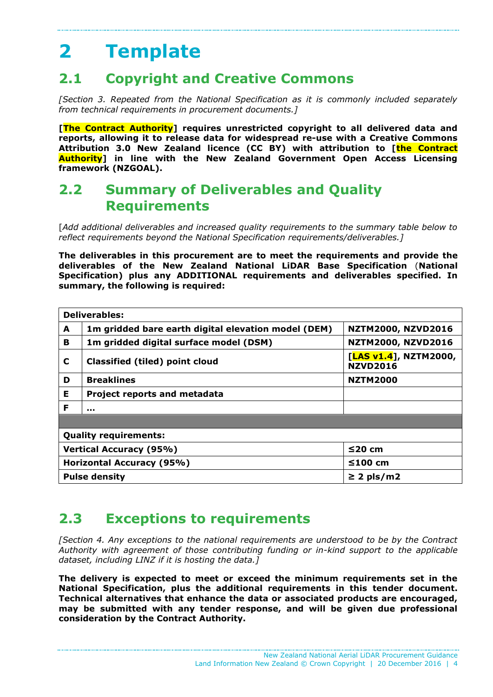# <span id="page-3-0"></span>**2 Template**

## <span id="page-3-1"></span>**2.1 Copyright and Creative Commons**

*[Section 3. Repeated from the National Specification as it is commonly included separately from technical requirements in procurement documents.]*

**[The Contract Authority] requires unrestricted copyright to all delivered data and reports, allowing it to release data for widespread re-use with a Creative Commons Attribution 3.0 New Zealand licence (CC BY) with attribution to [the Contract Authority] in line with the New Zealand Government Open Access Licensing framework (NZGOAL).**

## <span id="page-3-2"></span>**2.2 Summary of Deliverables and Quality Requirements**

[*Add additional deliverables and increased quality requirements to the summary table below to reflect requirements beyond the National Specification requirements/deliverables.]*

**The deliverables in this procurement are to meet the requirements and provide the deliverables of the New Zealand National LiDAR Base Specification** (**National Specification) plus any ADDITIONAL requirements and deliverables specified. In summary, the following is required:**

| <b>Deliverables:</b>           |                                                                                  |                                          |  |  |
|--------------------------------|----------------------------------------------------------------------------------|------------------------------------------|--|--|
| A                              | 1m gridded bare earth digital elevation model (DEM)<br><b>NZTM2000, NZVD2016</b> |                                          |  |  |
| B                              | 1m gridded digital surface model (DSM)                                           | <b>NZTM2000, NZVD2016</b>                |  |  |
| C                              | <b>Classified (tiled) point cloud</b>                                            | [LAS v1.4], NZTM2000,<br><b>NZVD2016</b> |  |  |
| D                              | <b>Breaklines</b>                                                                | <b>NZTM2000</b>                          |  |  |
| Е                              | <b>Project reports and metadata</b>                                              |                                          |  |  |
| F                              |                                                                                  |                                          |  |  |
|                                |                                                                                  |                                          |  |  |
| <b>Quality requirements:</b>   |                                                                                  |                                          |  |  |
| <b>Vertical Accuracy (95%)</b> |                                                                                  | $\leq$ 20 cm                             |  |  |
| Horizontal Accuracy (95%)      |                                                                                  | $≤100$ cm                                |  |  |
|                                | <b>Pulse density</b><br>$\geq$ 2 pls/m2                                          |                                          |  |  |

## <span id="page-3-3"></span>**2.3 Exceptions to requirements**

*[Section 4. Any exceptions to the national requirements are understood to be by the Contract Authority with agreement of those contributing funding or in-kind support to the applicable dataset, including LINZ if it is hosting the data.]*

**The delivery is expected to meet or exceed the minimum requirements set in the National Specification, plus the additional requirements in this tender document. Technical alternatives that enhance the data or associated products are encouraged, may be submitted with any tender response, and will be given due professional consideration by the Contract Authority.**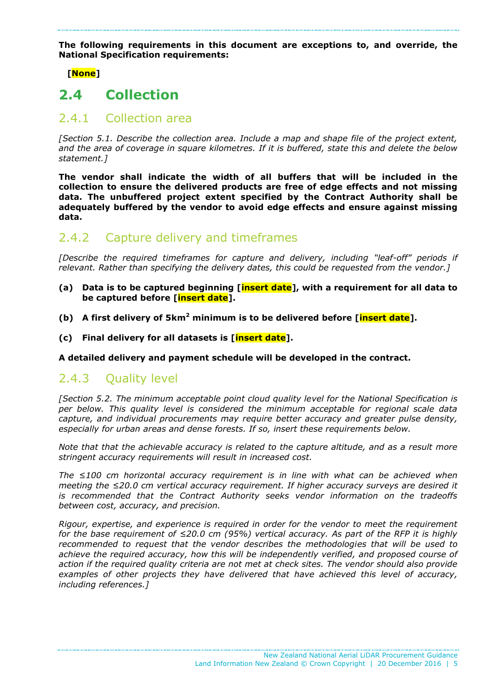**The following requirements in this document are exceptions to, and override, the National Specification requirements:**

 **[None]**

## <span id="page-4-0"></span>**2.4 Collection**

### 2.4.1 Collection area

*[Section 5.1. Describe the collection area. Include a map and shape file of the project extent, and the area of coverage in square kilometres. If it is buffered, state this and delete the below statement.]*

**The vendor shall indicate the width of all buffers that will be included in the collection to ensure the delivered products are free of edge effects and not missing data. The unbuffered project extent specified by the Contract Authority shall be adequately buffered by the vendor to avoid edge effects and ensure against missing data.**

## 2.4.2 Capture delivery and timeframes

*[Describe the required timeframes for capture and delivery, including "leaf-off" periods if relevant. Rather than specifying the delivery dates, this could be requested from the vendor.]*

- **(a) Data is to be captured beginning [insert date], with a requirement for all data to be captured before [insert date].**
- **(b) A first delivery of 5km<sup>2</sup> minimum is to be delivered before [insert date].**
- **(c) Final delivery for all datasets is [insert date].**

**A detailed delivery and payment schedule will be developed in the contract.**

### 2.4.3 Ouality level

*[Section 5.2. The minimum acceptable point cloud quality level for the National Specification is per below. This quality level is considered the minimum acceptable for regional scale data capture, and individual procurements may require better accuracy and greater pulse density, especially for urban areas and dense forests. If so, insert these requirements below.* 

*Note that that the achievable accuracy is related to the capture altitude, and as a result more stringent accuracy requirements will result in increased cost.* 

*The ≤100 cm horizontal accuracy requirement is in line with what can be achieved when meeting the ≤20.0 cm vertical accuracy requirement. If higher accuracy surveys are desired it is recommended that the Contract Authority seeks vendor information on the tradeoffs between cost, accuracy, and precision.*

*Rigour, expertise, and experience is required in order for the vendor to meet the requirement for the base requirement of ≤20.0 cm (95%) vertical accuracy. As part of the RFP it is highly recommended to request that the vendor describes the methodologies that will be used to achieve the required accuracy, how this will be independently verified, and proposed course of action if the required quality criteria are not met at check sites. The vendor should also provide examples of other projects they have delivered that have achieved this level of accuracy, including references.]*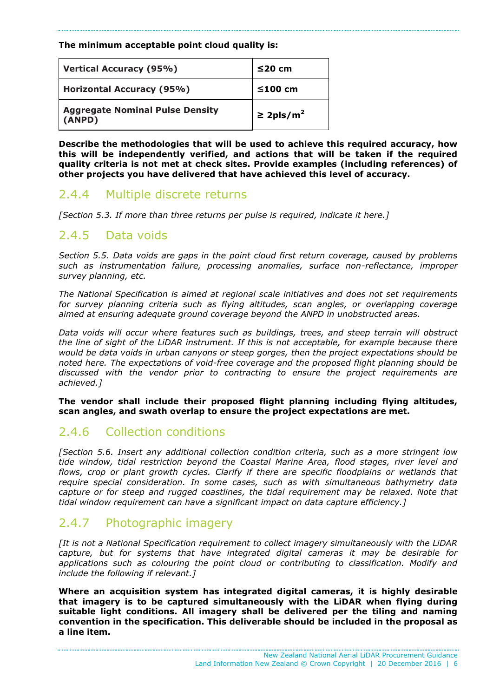#### **The minimum acceptable point cloud quality is:**

| <b>Vertical Accuracy (95%)</b>                   | $≤20$ cm                   |
|--------------------------------------------------|----------------------------|
| <b>Horizontal Accuracy (95%)</b>                 | ≤100 cm                    |
| <b>Aggregate Nominal Pulse Density</b><br>(ANPD) | $\geq$ 2pls/m <sup>2</sup> |

**Describe the methodologies that will be used to achieve this required accuracy, how this will be independently verified, and actions that will be taken if the required quality criteria is not met at check sites. Provide examples (including references) of other projects you have delivered that have achieved this level of accuracy.**

### 2.4.4 Multiple discrete returns

*[Section 5.3. If more than three returns per pulse is required, indicate it here.]*

### 2.4.5 Data voids

*Section 5.5. Data voids are gaps in the point cloud first return coverage, caused by problems such as instrumentation failure, processing anomalies, surface non-reflectance, improper survey planning, etc.* 

*The National Specification is aimed at regional scale initiatives and does not set requirements for survey planning criteria such as flying altitudes, scan angles, or overlapping coverage aimed at ensuring adequate ground coverage beyond the ANPD in unobstructed areas.* 

*Data voids will occur where features such as buildings, trees, and steep terrain will obstruct the line of sight of the LiDAR instrument. If this is not acceptable, for example because there would be data voids in urban canyons or steep gorges, then the project expectations should be noted here. The expectations of void-free coverage and the proposed flight planning should be discussed with the vendor prior to contracting to ensure the project requirements are achieved.]*

**The vendor shall include their proposed flight planning including flying altitudes, scan angles, and swath overlap to ensure the project expectations are met.**

## 2.4.6 Collection conditions

*[Section 5.6. Insert any additional collection condition criteria, such as a more stringent low tide window, tidal restriction beyond the Coastal Marine Area, flood stages, river level and*  flows, crop or plant growth cycles. Clarify if there are specific floodplains or wetlands that *require special consideration. In some cases, such as with simultaneous bathymetry data capture or for steep and rugged coastlines, the tidal requirement may be relaxed. Note that tidal window requirement can have a significant impact on data capture efficiency.]*

## 2.4.7 Photographic imagery

*[It is not a National Specification requirement to collect imagery simultaneously with the LiDAR capture, but for systems that have integrated digital cameras it may be desirable for applications such as colouring the point cloud or contributing to classification. Modify and include the following if relevant.]* 

**Where an acquisition system has integrated digital cameras, it is highly desirable that imagery is to be captured simultaneously with the LiDAR when flying during suitable light conditions. All imagery shall be delivered per the tiling and naming convention in the specification. This deliverable should be included in the proposal as a line item.**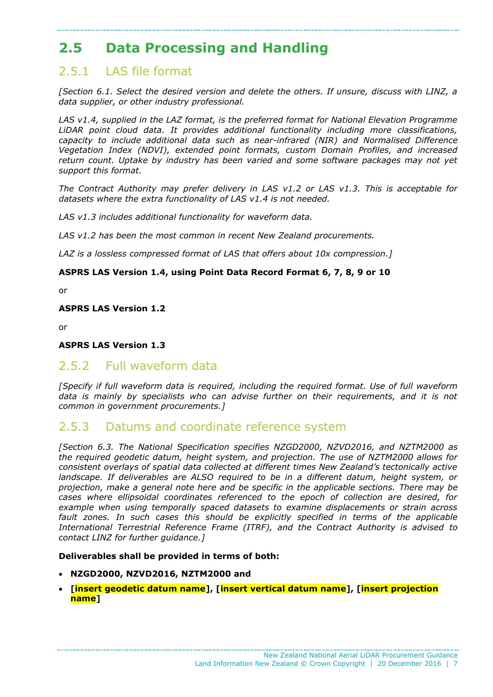## <span id="page-6-0"></span>**2.5 Data Processing and Handling**

## 2.5.1 LAS file format

*[Section 6.1. Select the desired version and delete the others. If unsure, discuss with LINZ, a data supplier, or other industry professional.* 

*LAS v1.4, supplied in the LAZ format, is the preferred format for National Elevation Programme LiDAR point cloud data. It provides additional functionality including more classifications, capacity to include additional data such as near-infrared (NIR) and Normalised Difference Vegetation Index (NDVI), extended point formats, custom Domain Profiles, and increased return count. Uptake by industry has been varied and some software packages may not yet support this format.* 

*The Contract Authority may prefer delivery in LAS v1.2 or LAS v1.3. This is acceptable for datasets where the extra functionality of LAS v1.4 is not needed.*

*LAS v1.3 includes additional functionality for waveform data.*

*LAS v1.2 has been the most common in recent New Zealand procurements.*

*LAZ is a lossless compressed format of LAS that offers about 10x compression.]*

#### **ASPRS LAS Version 1.4, using Point Data Record Format 6, 7, 8, 9 or 10**

or

**ASPRS LAS Version 1.2**

or

#### **ASPRS LAS Version 1.3**

### 2.5.2 Full waveform data

*[Specify if full waveform data is required, including the required format. Use of full waveform*  data is mainly by specialists who can advise further on their requirements, and it is not *common in government procurements.]*

### 2.5.3 Datums and coordinate reference system

*[Section 6.3. The National Specification specifies NZGD2000, NZVD2016, and NZTM2000 as the required geodetic datum, height system, and projection. The use of NZTM2000 allows for consistent overlays of spatial data collected at different times New Zealand's tectonically active landscape. If deliverables are ALSO required to be in a different datum, height system, or projection, make a general note here and be specific in the applicable sections. There may be cases where ellipsoidal coordinates referenced to the epoch of collection are desired, for example when using temporally spaced datasets to examine displacements or strain across fault zones. In such cases this should be explicitly specified in terms of the applicable International Terrestrial Reference Frame (ITRF), and the Contract Authority is advised to contact LINZ for further guidance.]*

#### **Deliverables shall be provided in terms of both:**

- **NZGD2000, NZVD2016, NZTM2000 and**
- **[insert geodetic datum name], [insert vertical datum name], [insert projection name]**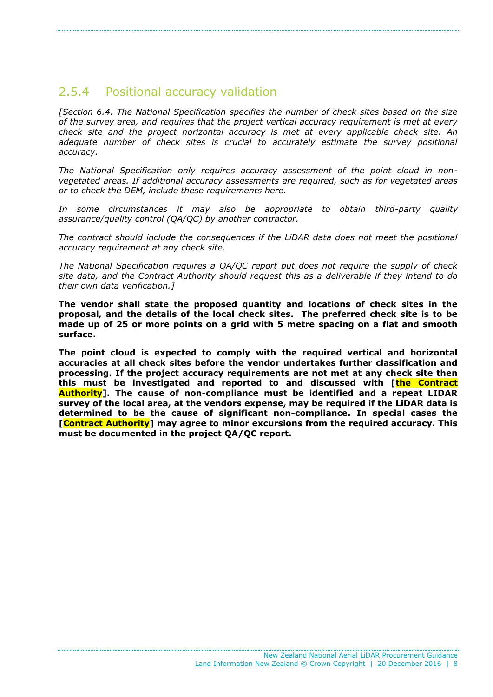### 2.5.4 Positional accuracy validation

*[Section 6.4. The National Specification specifies the number of check sites based on the size of the survey area, and requires that the project vertical accuracy requirement is met at every check site and the project horizontal accuracy is met at every applicable check site. An*  adequate number of check sites is crucial to accurately estimate the survey positional *accuracy.* 

*The National Specification only requires accuracy assessment of the point cloud in nonvegetated areas. If additional accuracy assessments are required, such as for vegetated areas or to check the DEM, include these requirements here.*

*In some circumstances it may also be appropriate to obtain third-party quality assurance/quality control (QA/QC) by another contractor.*

*The contract should include the consequences if the LiDAR data does not meet the positional accuracy requirement at any check site.* 

*The National Specification requires a QA/QC report but does not require the supply of check site data, and the Contract Authority should request this as a deliverable if they intend to do their own data verification.]*

**The vendor shall state the proposed quantity and locations of check sites in the proposal, and the details of the local check sites. The preferred check site is to be made up of 25 or more points on a grid with 5 metre spacing on a flat and smooth surface.**

**The point cloud is expected to comply with the required vertical and horizontal accuracies at all check sites before the vendor undertakes further classification and processing. If the project accuracy requirements are not met at any check site then this must be investigated and reported to and discussed with [the Contract Authority]. The cause of non-compliance must be identified and a repeat LIDAR survey of the local area, at the vendors expense, may be required if the LiDAR data is determined to be the cause of significant non-compliance. In special cases the [Contract Authority] may agree to minor excursions from the required accuracy. This must be documented in the project QA/QC report.**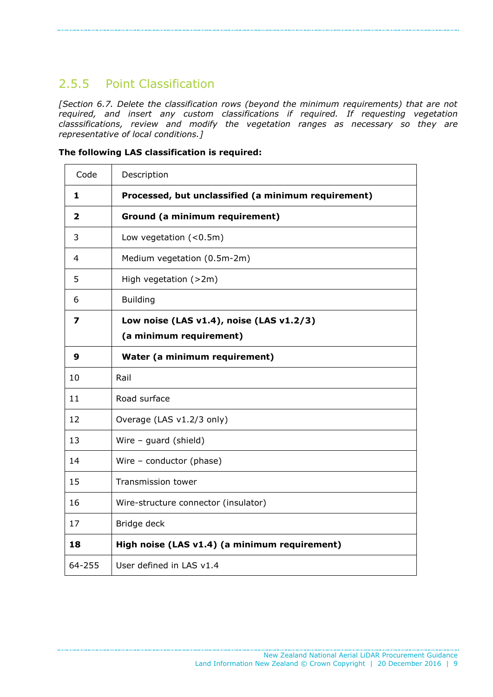## 2.5.5 Point Classification

*[Section 6.7. Delete the classification rows (beyond the minimum requirements) that are not required, and insert any custom classifications if required. If requesting vegetation classsifications, review and modify the vegetation ranges as necessary so they are representative of local conditions.]* 

|  | The following LAS classification is required: |  |
|--|-----------------------------------------------|--|
|  |                                               |  |

| Code   | Description                                         |
|--------|-----------------------------------------------------|
| 1      | Processed, but unclassified (a minimum requirement) |
| 2      | Ground (a minimum requirement)                      |
| 3      | Low vegetation $(0.5m)$                             |
| 4      | Medium vegetation (0.5m-2m)                         |
| 5      | High vegetation (>2m)                               |
| 6      | <b>Building</b>                                     |
| 7      | Low noise (LAS v1.4), noise (LAS v1.2/3)            |
|        | (a minimum requirement)                             |
| 9      | Water (a minimum requirement)                       |
| 10     | Rail                                                |
| 11     | Road surface                                        |
| 12     | Overage (LAS v1.2/3 only)                           |
| 13     | Wire $-$ guard (shield)                             |
| 14     | Wire $-$ conductor (phase)                          |
| 15     | Transmission tower                                  |
| 16     | Wire-structure connector (insulator)                |
| 17     | Bridge deck                                         |
| 18     | High noise (LAS v1.4) (a minimum requirement)       |
| 64-255 | User defined in LAS v1.4                            |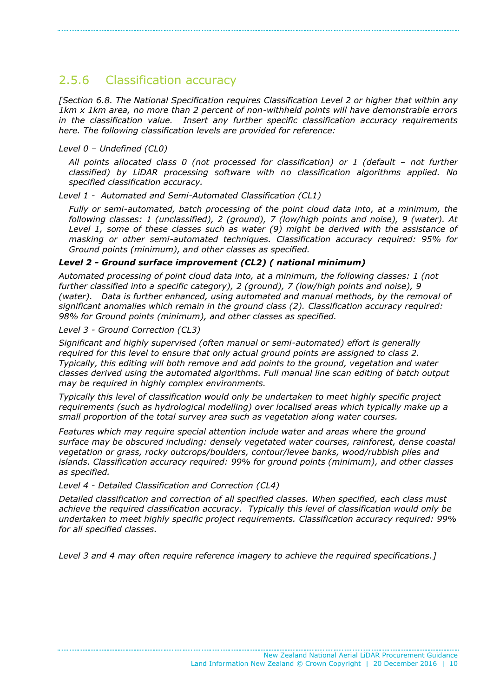## 2.5.6 Classification accuracy

*[Section 6.8. The National Specification requires Classification Level 2 or higher that within any 1km x 1km area, no more than 2 percent of non-withheld points will have demonstrable errors in the classification value. Insert any further specific classification accuracy requirements here. The following classification levels are provided for reference:*

#### *Level 0 – Undefined (CL0)*

*All points allocated class 0 (not processed for classification) or 1 (default – not further classified) by LiDAR processing software with no classification algorithms applied. No specified classification accuracy.*

*Level 1 - Automated and Semi-Automated Classification (CL1)*

*Fully or semi-automated, batch processing of the point cloud data into, at a minimum, the following classes: 1 (unclassified), 2 (ground), 7 (low/high points and noise), 9 (water). At Level 1, some of these classes such as water (9) might be derived with the assistance of masking or other semi-automated techniques. Classification accuracy required: 95% for Ground points (minimum), and other classes as specified.*

#### *Level 2 - Ground surface improvement (CL2) ( national minimum)*

*Automated processing of point cloud data into, at a minimum, the following classes: 1 (not further classified into a specific category), 2 (ground), 7 (low/high points and noise), 9 (water). Data is further enhanced, using automated and manual methods, by the removal of significant anomalies which remain in the ground class (2). Classification accuracy required: 98% for Ground points (minimum), and other classes as specified.*

*Level 3 - Ground Correction (CL3)*

*Significant and highly supervised (often manual or semi-automated) effort is generally required for this level to ensure that only actual ground points are assigned to class 2. Typically, this editing will both remove and add points to the ground, vegetation and water classes derived using the automated algorithms. Full manual line scan editing of batch output may be required in highly complex environments.*

*Typically this level of classification would only be undertaken to meet highly specific project requirements (such as hydrological modelling) over localised areas which typically make up a small proportion of the total survey area such as vegetation along water courses.*

*Features which may require special attention include water and areas where the ground surface may be obscured including: densely vegetated water courses, rainforest, dense coastal vegetation or grass, rocky outcrops/boulders, contour/levee banks, wood/rubbish piles and islands. Classification accuracy required: 99% for ground points (minimum), and other classes as specified.*

*Level 4 - Detailed Classification and Correction (CL4)*

*Detailed classification and correction of all specified classes. When specified, each class must achieve the required classification accuracy. Typically this level of classification would only be undertaken to meet highly specific project requirements. Classification accuracy required: 99% for all specified classes.*

*Level 3 and 4 may often require reference imagery to achieve the required specifications.]*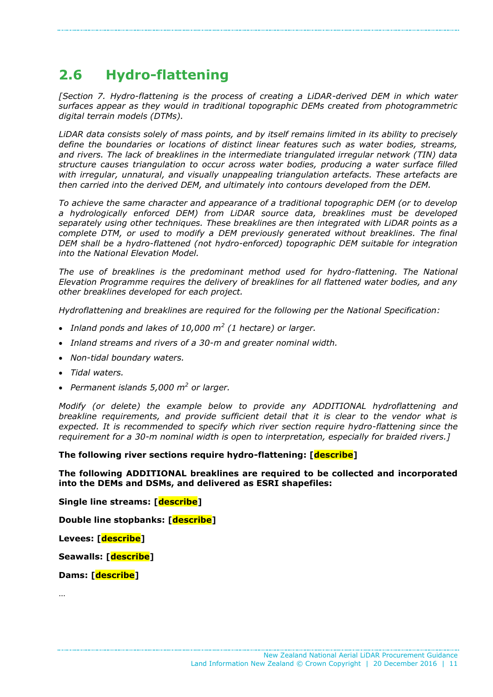## <span id="page-10-0"></span>**2.6 Hydro-flattening**

*[Section 7. Hydro-flattening is the process of creating a LiDAR-derived DEM in which water surfaces appear as they would in traditional topographic DEMs created from photogrammetric digital terrain models (DTMs).* 

*LiDAR data consists solely of mass points, and by itself remains limited in its ability to precisely define the boundaries or locations of distinct linear features such as water bodies, streams, and rivers. The lack of breaklines in the intermediate triangulated irregular network (TIN) data structure causes triangulation to occur across water bodies, producing a water surface filled with irregular, unnatural, and visually unappealing triangulation artefacts. These artefacts are then carried into the derived DEM, and ultimately into contours developed from the DEM.* 

*To achieve the same character and appearance of a traditional topographic DEM (or to develop a hydrologically enforced DEM) from LiDAR source data, breaklines must be developed separately using other techniques. These breaklines are then integrated with LiDAR points as a complete DTM, or used to modify a DEM previously generated without breaklines. The final DEM shall be a hydro-flattened (not hydro-enforced) topographic DEM suitable for integration into the National Elevation Model.*

The use of breaklines is the predominant method used for hydro-flattening. The National *Elevation Programme requires the delivery of breaklines for all flattened water bodies, and any other breaklines developed for each project.* 

*Hydroflattening and breaklines are required for the following per the National Specification:*

- *Inland ponds and lakes of 10,000 m<sup>2</sup> (1 hectare) or larger.*
- *Inland streams and rivers of a 30-m and greater nominal width.*
- *Non-tidal boundary waters.*
- *Tidal waters.*
- *Permanent islands 5,000 m<sup>2</sup> or larger.*

*Modify (or delete) the example below to provide any ADDITIONAL hydroflattening and breakline requirements, and provide sufficient detail that it is clear to the vendor what is expected. It is recommended to specify which river section require hydro-flattening since the requirement for a 30-m nominal width is open to interpretation, especially for braided rivers.]*

**The following river sections require hydro-flattening: [describe]**

**The following ADDITIONAL breaklines are required to be collected and incorporated into the DEMs and DSMs, and delivered as ESRI shapefiles:**

**Single line streams: [describe]**

**Double line stopbanks: [describe]**

**Levees: [describe]**

**Seawalls: [describe]**

**Dams: [describe]**

…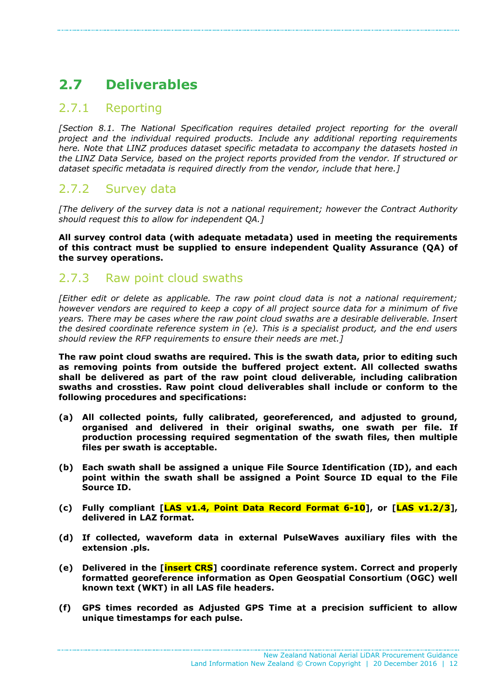## <span id="page-11-0"></span>**2.7 Deliverables**

### 2.7.1 Reporting

*[Section 8.1. The National Specification requires detailed project reporting for the overall project and the individual required products. Include any additional reporting requirements here. Note that LINZ produces dataset specific metadata to accompany the datasets hosted in the LINZ Data Service, based on the project reports provided from the vendor. If structured or dataset specific metadata is required directly from the vendor, include that here.]*

## 2.7.2 Survey data

*[The delivery of the survey data is not a national requirement; however the Contract Authority should request this to allow for independent QA.]*

**All survey control data (with adequate metadata) used in meeting the requirements of this contract must be supplied to ensure independent Quality Assurance (QA) of the survey operations.**

### 2.7.3 Raw point cloud swaths

*[Either edit or delete as applicable. The raw point cloud data is not a national requirement; however vendors are required to keep a copy of all project source data for a minimum of five years. There may be cases where the raw point cloud swaths are a desirable deliverable. Insert the desired coordinate reference system in (e). This is a specialist product, and the end users should review the RFP requirements to ensure their needs are met.]*

**The raw point cloud swaths are required. This is the swath data, prior to editing such as removing points from outside the buffered project extent. All collected swaths shall be delivered as part of the raw point cloud deliverable, including calibration swaths and crossties. Raw point cloud deliverables shall include or conform to the following procedures and specifications:**

- **(a) All collected points, fully calibrated, georeferenced, and adjusted to ground, organised and delivered in their original swaths, one swath per file. If production processing required segmentation of the swath files, then multiple files per swath is acceptable.**
- **(b) Each swath shall be assigned a unique File Source Identification (ID), and each point within the swath shall be assigned a Point Source ID equal to the File Source ID.**
- **(c) Fully compliant [LAS v1.4, Point Data Record Format 6-10], or [LAS v1.2/3], delivered in LAZ format.**
- **(d) If collected, waveform data in external PulseWaves auxiliary files with the extension .pls.**
- **(e) Delivered in the [insert CRS] coordinate reference system. Correct and properly formatted georeference information as Open Geospatial Consortium (OGC) well known text (WKT) in all LAS file headers.**
- **(f) GPS times recorded as Adjusted GPS Time at a precision sufficient to allow unique timestamps for each pulse.**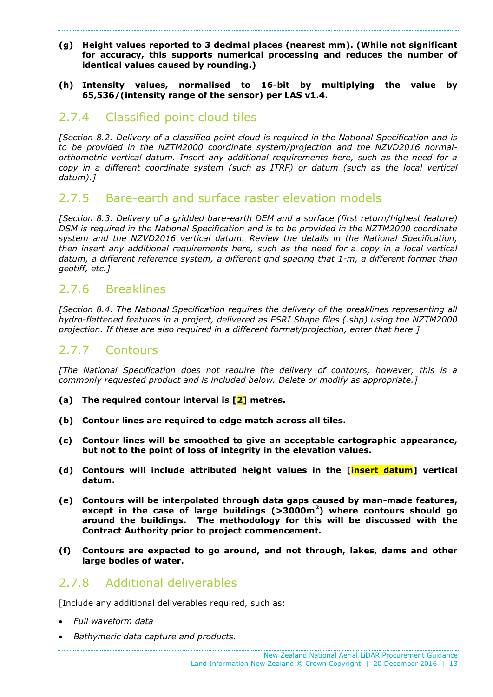#### **(g) Height values reported to 3 decimal places (nearest mm). (While not significant for accuracy, this supports numerical processing and reduces the number of identical values caused by rounding.)**

#### **(h) Intensity values, normalised to 16-bit by multiplying the value by 65,536/(intensity range of the sensor) per LAS v1.4.**

## 2.7.4 Classified point cloud tiles

*[Section 8.2. Delivery of a classified point cloud is required in the National Specification and is to be provided in the NZTM2000 coordinate system/projection and the NZVD2016 normalorthometric vertical datum. Insert any additional requirements here, such as the need for a copy in a different coordinate system (such as ITRF) or datum (such as the local vertical datum).]*

### 2.7.5 Bare-earth and surface raster elevation models

*[Section 8.3. Delivery of a gridded bare-earth DEM and a surface (first return/highest feature) DSM is required in the National Specification and is to be provided in the NZTM2000 coordinate system and the NZVD2016 vertical datum. Review the details in the National Specification, then insert any additional requirements here, such as the need for a copy in a local vertical datum, a different reference system, a different grid spacing that 1-m, a different format than geotiff, etc.]*

## 2.7.6 Breaklines

*[Section 8.4. The National Specification requires the delivery of the breaklines representing all hydro-flattened features in a project, delivered as ESRI Shape files (.shp) using the NZTM2000 projection. If these are also required in a different format/projection, enter that here.]*

### 2.7.7 Contours

*[The National Specification does not require the delivery of contours, however, this is a commonly requested product and is included below. Delete or modify as appropriate.]* 

- **(a) The required contour interval is [2] metres.**
- **(b) Contour lines are required to edge match across all tiles.**
- **(c) Contour lines will be smoothed to give an acceptable cartographic appearance, but not to the point of loss of integrity in the elevation values.**
- **(d) Contours will include attributed height values in the [insert datum] vertical datum.**
- **(e) Contours will be interpolated through data gaps caused by man-made features, except in the case of large buildings (>3000m<sup>2</sup> ) where contours should go around the buildings. The methodology for this will be discussed with the Contract Authority prior to project commencement.**
- **(f) Contours are expected to go around, and not through, lakes, dams and other large bodies of water.**

### 2.7.8 Additional deliverables

[Include any additional deliverables required, such as:

- *Full waveform data*
- *Bathymeric data capture and products.*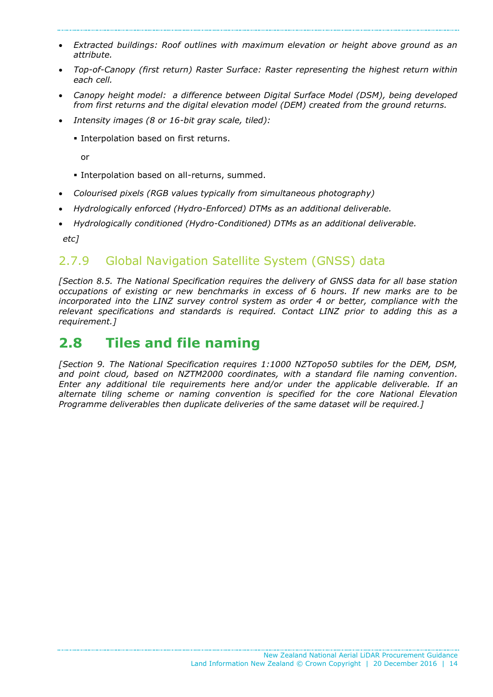- *Extracted buildings: Roof outlines with maximum elevation or height above ground as an attribute.*
- *Top-of-Canopy (first return) Raster Surface: Raster representing the highest return within each cell.*
- *Canopy height model: a difference between Digital Surface Model (DSM), being developed from first returns and the digital elevation model (DEM) created from the ground returns.*
- *Intensity images (8 or 16-bit gray scale, tiled):*
	- **Interpolation based on first returns.**

or

- **Interpolation based on all-returns, summed.**
- *Colourised pixels (RGB values typically from simultaneous photography)*
- *Hydrologically enforced (Hydro-Enforced) DTMs as an additional deliverable.*
- *Hydrologically conditioned (Hydro-Conditioned) DTMs as an additional deliverable. etc]*

## 2.7.9 Global Navigation Satellite System (GNSS) data

*[Section 8.5. The National Specification requires the delivery of GNSS data for all base station occupations of existing or new benchmarks in excess of 6 hours. If new marks are to be incorporated into the LINZ survey control system as order 4 or better, compliance with the relevant specifications and standards is required. Contact LINZ prior to adding this as a requirement.]*

## <span id="page-13-0"></span>**2.8 Tiles and file naming**

*[Section 9. The National Specification requires 1:1000 NZTopo50 subtiles for the DEM, DSM, and point cloud, based on NZTM2000 coordinates, with a standard file naming convention. Enter any additional tile requirements here and/or under the applicable deliverable. If an alternate tiling scheme or naming convention is specified for the core National Elevation Programme deliverables then duplicate deliveries of the same dataset will be required.]*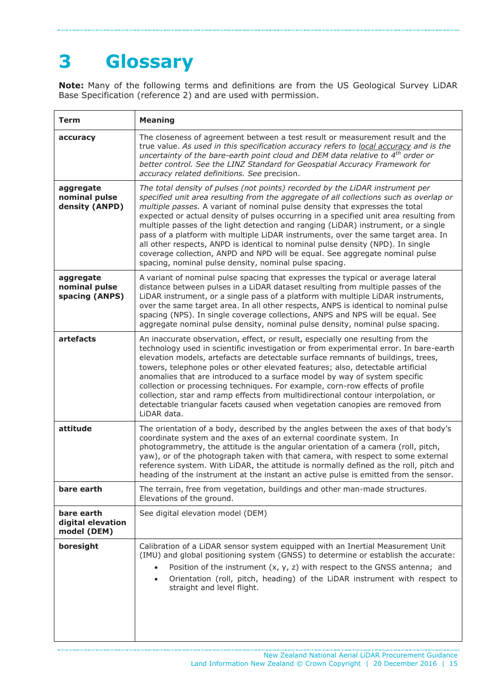# <span id="page-14-0"></span>**3 Glossary**

**Note:** Many of the following terms and definitions are from the US Geological Survey LiDAR Base Specification (reference 2) and are used with permission.

| <b>Term</b>                                    | <b>Meaning</b>                                                                                                                                                                                                                                                                                                                                                                                                                                                                                                                                                                                                                                                                                                                                            |
|------------------------------------------------|-----------------------------------------------------------------------------------------------------------------------------------------------------------------------------------------------------------------------------------------------------------------------------------------------------------------------------------------------------------------------------------------------------------------------------------------------------------------------------------------------------------------------------------------------------------------------------------------------------------------------------------------------------------------------------------------------------------------------------------------------------------|
| accuracy                                       | The closeness of agreement between a test result or measurement result and the<br>true value. As used in this specification accuracy refers to local accuracy and is the<br>uncertainty of the bare-earth point cloud and DEM data relative to 4 <sup>th</sup> order or<br>better control. See the LINZ Standard for Geospatial Accuracy Framework for<br>accuracy related definitions. See precision.                                                                                                                                                                                                                                                                                                                                                    |
| aggregate<br>nominal pulse<br>density (ANPD)   | The total density of pulses (not points) recorded by the LiDAR instrument per<br>specified unit area resulting from the aggregate of all collections such as overlap or<br>multiple passes. A variant of nominal pulse density that expresses the total<br>expected or actual density of pulses occurring in a specified unit area resulting from<br>multiple passes of the light detection and ranging (LiDAR) instrument, or a single<br>pass of a platform with multiple LiDAR instruments, over the same target area. In<br>all other respects, ANPD is identical to nominal pulse density (NPD). In single<br>coverage collection, ANPD and NPD will be equal. See aggregate nominal pulse<br>spacing, nominal pulse density, nominal pulse spacing. |
| aggregate<br>nominal pulse<br>spacing (ANPS)   | A variant of nominal pulse spacing that expresses the typical or average lateral<br>distance between pulses in a LiDAR dataset resulting from multiple passes of the<br>LiDAR instrument, or a single pass of a platform with multiple LiDAR instruments,<br>over the same target area. In all other respects, ANPS is identical to nominal pulse<br>spacing (NPS). In single coverage collections, ANPS and NPS will be equal. See<br>aggregate nominal pulse density, nominal pulse density, nominal pulse spacing.                                                                                                                                                                                                                                     |
| artefacts                                      | An inaccurate observation, effect, or result, especially one resulting from the<br>technology used in scientific investigation or from experimental error. In bare-earth<br>elevation models, artefacts are detectable surface remnants of buildings, trees,<br>towers, telephone poles or other elevated features; also, detectable artificial<br>anomalies that are introduced to a surface model by way of system specific<br>collection or processing techniques. For example, corn-row effects of profile<br>collection, star and ramp effects from multidirectional contour interpolation, or<br>detectable triangular facets caused when vegetation canopies are removed from<br>LiDAR data.                                                       |
| attitude                                       | The orientation of a body, described by the angles between the axes of that body's<br>coordinate system and the axes of an external coordinate system. In<br>photogrammetry, the attitude is the angular orientation of a camera (roll, pitch,<br>yaw), or of the photograph taken with that camera, with respect to some external<br>reference system. With LiDAR, the attitude is normally defined as the roll, pitch and<br>heading of the instrument at the instant an active pulse is emitted from the sensor.                                                                                                                                                                                                                                       |
| bare earth                                     | The terrain, free from vegetation, buildings and other man-made structures.<br>Elevations of the ground.                                                                                                                                                                                                                                                                                                                                                                                                                                                                                                                                                                                                                                                  |
| bare earth<br>digital elevation<br>model (DEM) | See digital elevation model (DEM)                                                                                                                                                                                                                                                                                                                                                                                                                                                                                                                                                                                                                                                                                                                         |
| boresight                                      | Calibration of a LiDAR sensor system equipped with an Inertial Measurement Unit<br>(IMU) and global positioning system (GNSS) to determine or establish the accurate:<br>Position of the instrument $(x, y, z)$ with respect to the GNSS antenna; and<br>Orientation (roll, pitch, heading) of the LiDAR instrument with respect to<br>$\bullet$<br>straight and level flight.                                                                                                                                                                                                                                                                                                                                                                            |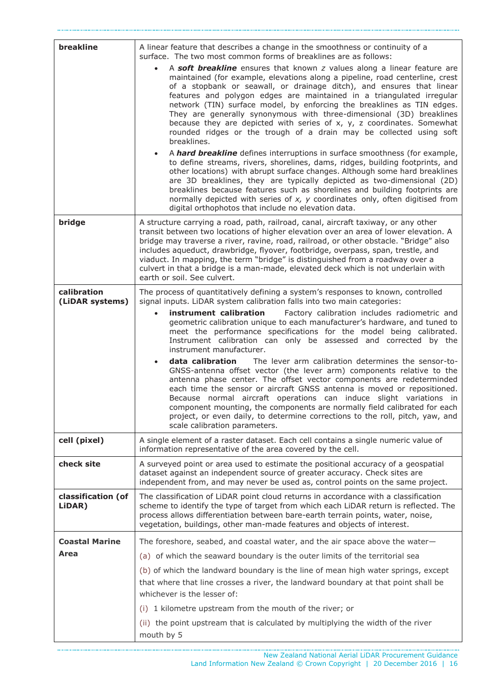| breakline                      | A linear feature that describes a change in the smoothness or continuity of a<br>surface. The two most common forms of breaklines are as follows:<br>A soft breakline ensures that known z values along a linear feature are<br>$\bullet$<br>maintained (for example, elevations along a pipeline, road centerline, crest<br>of a stopbank or seawall, or drainage ditch), and ensures that linear<br>features and polygon edges are maintained in a triangulated irregular<br>network (TIN) surface model, by enforcing the breaklines as TIN edges.<br>They are generally synonymous with three-dimensional (3D) breaklines<br>because they are depicted with series of $x$ , $y$ , $z$ coordinates. Somewhat<br>rounded ridges or the trough of a drain may be collected using soft<br>breaklines.<br>A hard breakline defines interruptions in surface smoothness (for example,<br>$\bullet$<br>to define streams, rivers, shorelines, dams, ridges, building footprints, and<br>other locations) with abrupt surface changes. Although some hard breaklines<br>are 3D breaklines, they are typically depicted as two-dimensional (2D)<br>breaklines because features such as shorelines and building footprints are<br>normally depicted with series of $x$ , $y$ coordinates only, often digitised from<br>digital orthophotos that include no elevation data. |
|--------------------------------|----------------------------------------------------------------------------------------------------------------------------------------------------------------------------------------------------------------------------------------------------------------------------------------------------------------------------------------------------------------------------------------------------------------------------------------------------------------------------------------------------------------------------------------------------------------------------------------------------------------------------------------------------------------------------------------------------------------------------------------------------------------------------------------------------------------------------------------------------------------------------------------------------------------------------------------------------------------------------------------------------------------------------------------------------------------------------------------------------------------------------------------------------------------------------------------------------------------------------------------------------------------------------------------------------------------------------------------------------------------------|
| bridge                         | A structure carrying a road, path, railroad, canal, aircraft taxiway, or any other<br>transit between two locations of higher elevation over an area of lower elevation. A<br>bridge may traverse a river, ravine, road, railroad, or other obstacle. "Bridge" also<br>includes aqueduct, drawbridge, flyover, footbridge, overpass, span, trestle, and<br>viaduct. In mapping, the term "bridge" is distinguished from a roadway over a<br>culvert in that a bridge is a man-made, elevated deck which is not underlain with<br>earth or soil. See culvert.                                                                                                                                                                                                                                                                                                                                                                                                                                                                                                                                                                                                                                                                                                                                                                                                         |
| calibration<br>(LiDAR systems) | The process of quantitatively defining a system's responses to known, controlled<br>signal inputs. LiDAR system calibration falls into two main categories:<br>instrument calibration<br>Factory calibration includes radiometric and<br>$\bullet$<br>geometric calibration unique to each manufacturer's hardware, and tuned to<br>meet the performance specifications for the model being calibrated.<br>Instrument calibration can only be assessed and corrected by the<br>instrument manufacturer.<br>data calibration<br>The lever arm calibration determines the sensor-to-<br>$\bullet$<br>GNSS-antenna offset vector (the lever arm) components relative to the<br>antenna phase center. The offset vector components are redeterminded<br>each time the sensor or aircraft GNSS antenna is moved or repositioned.<br>Because normal aircraft operations can induce slight variations in<br>component mounting, the components are normally field calibrated for each<br>project, or even daily, to determine corrections to the roll, pitch, yaw, and<br>scale calibration parameters.                                                                                                                                                                                                                                                                     |
| cell (pixel)                   | A single element of a raster dataset. Each cell contains a single numeric value of<br>information representative of the area covered by the cell.                                                                                                                                                                                                                                                                                                                                                                                                                                                                                                                                                                                                                                                                                                                                                                                                                                                                                                                                                                                                                                                                                                                                                                                                                    |
| check site                     | A surveyed point or area used to estimate the positional accuracy of a geospatial<br>dataset against an independent source of greater accuracy. Check sites are<br>independent from, and may never be used as, control points on the same project.                                                                                                                                                                                                                                                                                                                                                                                                                                                                                                                                                                                                                                                                                                                                                                                                                                                                                                                                                                                                                                                                                                                   |
| classification (of<br>LiDAR)   | The classification of LiDAR point cloud returns in accordance with a classification<br>scheme to identify the type of target from which each LiDAR return is reflected. The<br>process allows differentiation between bare-earth terrain points, water, noise,<br>vegetation, buildings, other man-made features and objects of interest.                                                                                                                                                                                                                                                                                                                                                                                                                                                                                                                                                                                                                                                                                                                                                                                                                                                                                                                                                                                                                            |
| <b>Coastal Marine</b><br>Area  | The foreshore, seabed, and coastal water, and the air space above the water-<br>(a) of which the seaward boundary is the outer limits of the territorial sea<br>(b) of which the landward boundary is the line of mean high water springs, except<br>that where that line crosses a river, the landward boundary at that point shall be<br>whichever is the lesser of:<br>1 kilometre upstream from the mouth of the river; or<br>(i)<br>(ii) the point upstream that is calculated by multiplying the width of the river<br>mouth by 5                                                                                                                                                                                                                                                                                                                                                                                                                                                                                                                                                                                                                                                                                                                                                                                                                              |

........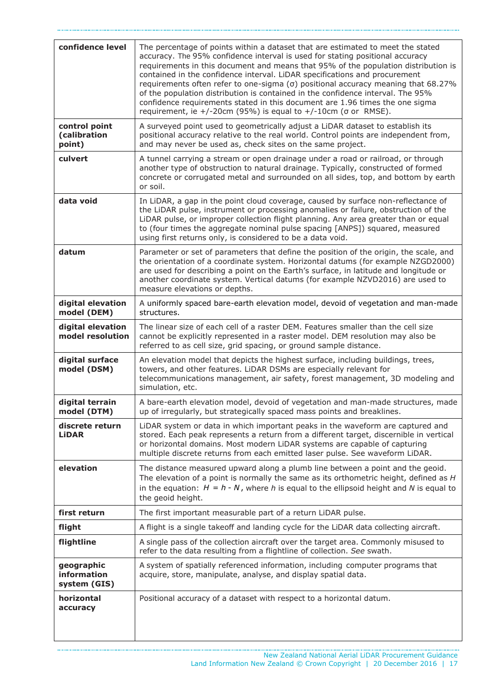| confidence level                                 | The percentage of points within a dataset that are estimated to meet the stated<br>accuracy. The 95% confidence interval is used for stating positional accuracy<br>requirements in this document and means that 95% of the population distribution is<br>contained in the confidence interval. LiDAR specifications and procurement<br>requirements often refer to one-sigma (σ) positional accuracy meaning that 68.27%<br>of the population distribution is contained in the confidence interval. The 95%<br>confidence requirements stated in this document are 1.96 times the one sigma<br>requirement, ie +/-20cm (95%) is equal to +/-10cm ( $\sigma$ or RMSE). |
|--------------------------------------------------|------------------------------------------------------------------------------------------------------------------------------------------------------------------------------------------------------------------------------------------------------------------------------------------------------------------------------------------------------------------------------------------------------------------------------------------------------------------------------------------------------------------------------------------------------------------------------------------------------------------------------------------------------------------------|
| control point<br>(calibration<br>point)          | A surveyed point used to geometrically adjust a LiDAR dataset to establish its<br>positional accuracy relative to the real world. Control points are independent from,<br>and may never be used as, check sites on the same project.                                                                                                                                                                                                                                                                                                                                                                                                                                   |
| culvert                                          | A tunnel carrying a stream or open drainage under a road or railroad, or through<br>another type of obstruction to natural drainage. Typically, constructed of formed<br>concrete or corrugated metal and surrounded on all sides, top, and bottom by earth<br>or soil.                                                                                                                                                                                                                                                                                                                                                                                                |
| data void                                        | In LiDAR, a gap in the point cloud coverage, caused by surface non-reflectance of<br>the LiDAR pulse, instrument or processing anomalies or failure, obstruction of the<br>LiDAR pulse, or improper collection flight planning. Any area greater than or equal<br>to (four times the aggregate nominal pulse spacing [ANPS]) squared, measured<br>using first returns only, is considered to be a data void.                                                                                                                                                                                                                                                           |
| datum                                            | Parameter or set of parameters that define the position of the origin, the scale, and<br>the orientation of a coordinate system. Horizontal datums (for example NZGD2000)<br>are used for describing a point on the Earth's surface, in latitude and longitude or<br>another coordinate system. Vertical datums (for example NZVD2016) are used to<br>measure elevations or depths.                                                                                                                                                                                                                                                                                    |
| digital elevation<br>model (DEM)                 | A uniformly spaced bare-earth elevation model, devoid of vegetation and man-made<br>structures.                                                                                                                                                                                                                                                                                                                                                                                                                                                                                                                                                                        |
| digital elevation<br>model resolution            | The linear size of each cell of a raster DEM. Features smaller than the cell size<br>cannot be explicitly represented in a raster model. DEM resolution may also be<br>referred to as cell size, grid spacing, or ground sample distance.                                                                                                                                                                                                                                                                                                                                                                                                                              |
| digital surface<br>model (DSM)                   | An elevation model that depicts the highest surface, including buildings, trees,<br>towers, and other features. LiDAR DSMs are especially relevant for<br>telecommunications management, air safety, forest management, 3D modeling and<br>simulation, etc.                                                                                                                                                                                                                                                                                                                                                                                                            |
| digital terrain<br>model (DTM)                   | A bare-earth elevation model, devoid of vegetation and man-made structures, made<br>up of irregularly, but strategically spaced mass points and breaklines.                                                                                                                                                                                                                                                                                                                                                                                                                                                                                                            |
| discrete return<br><b>LiDAR</b>                  | LiDAR system or data in which important peaks in the waveform are captured and<br>stored. Each peak represents a return from a different target, discernible in vertical<br>or horizontal domains. Most modern LiDAR systems are capable of capturing<br>multiple discrete returns from each emitted laser pulse. See waveform LiDAR.                                                                                                                                                                                                                                                                                                                                  |
| elevation                                        | The distance measured upward along a plumb line between a point and the geoid.<br>The elevation of a point is normally the same as its orthometric height, defined as $H$<br>in the equation: $H = h - N$ , where h is equal to the ellipsoid height and N is equal to<br>the geoid height.                                                                                                                                                                                                                                                                                                                                                                            |
| first return                                     | The first important measurable part of a return LiDAR pulse.                                                                                                                                                                                                                                                                                                                                                                                                                                                                                                                                                                                                           |
| flight                                           | A flight is a single takeoff and landing cycle for the LiDAR data collecting aircraft.                                                                                                                                                                                                                                                                                                                                                                                                                                                                                                                                                                                 |
| flightline                                       | A single pass of the collection aircraft over the target area. Commonly misused to<br>refer to the data resulting from a flightline of collection. See swath.                                                                                                                                                                                                                                                                                                                                                                                                                                                                                                          |
| geographic<br><b>information</b><br>system (GIS) | A system of spatially referenced information, including computer programs that<br>acquire, store, manipulate, analyse, and display spatial data.                                                                                                                                                                                                                                                                                                                                                                                                                                                                                                                       |
| horizontal<br>accuracy                           | Positional accuracy of a dataset with respect to a horizontal datum.                                                                                                                                                                                                                                                                                                                                                                                                                                                                                                                                                                                                   |

. . . . . . . .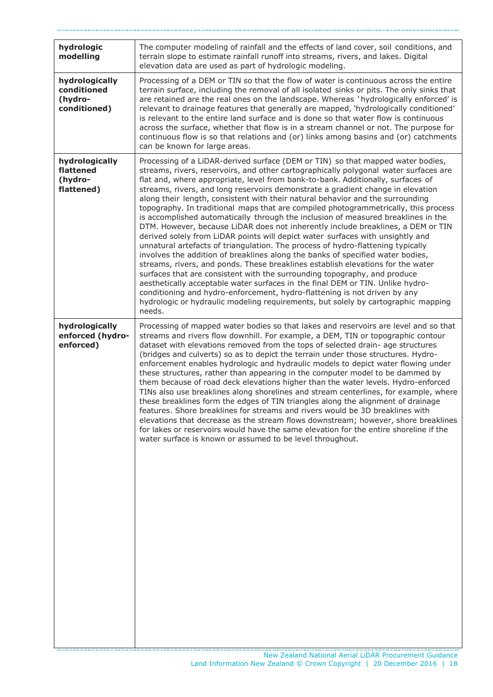| hydrologic<br>modelling                                  | The computer modeling of rainfall and the effects of land cover, soil conditions, and<br>terrain slope to estimate rainfall runoff into streams, rivers, and lakes. Digital<br>elevation data are used as part of hydrologic modeling.                                                                                                                                                                                                                                                                                                                                                                                                                                                                                                                                                                                                                                                                                                                                                                                                                                                                                                                                                                                                                                                                                                                                               |
|----------------------------------------------------------|--------------------------------------------------------------------------------------------------------------------------------------------------------------------------------------------------------------------------------------------------------------------------------------------------------------------------------------------------------------------------------------------------------------------------------------------------------------------------------------------------------------------------------------------------------------------------------------------------------------------------------------------------------------------------------------------------------------------------------------------------------------------------------------------------------------------------------------------------------------------------------------------------------------------------------------------------------------------------------------------------------------------------------------------------------------------------------------------------------------------------------------------------------------------------------------------------------------------------------------------------------------------------------------------------------------------------------------------------------------------------------------|
| hydrologically<br>conditioned<br>(hydro-<br>conditioned) | Processing of a DEM or TIN so that the flow of water is continuous across the entire<br>terrain surface, including the removal of all isolated sinks or pits. The only sinks that<br>are retained are the real ones on the landscape. Whereas 'hydrologically enforced' is<br>relevant to drainage features that generally are mapped, 'hydrologically conditioned'<br>is relevant to the entire land surface and is done so that water flow is continuous<br>across the surface, whether that flow is in a stream channel or not. The purpose for<br>continuous flow is so that relations and (or) links among basins and (or) catchments<br>can be known for large areas.                                                                                                                                                                                                                                                                                                                                                                                                                                                                                                                                                                                                                                                                                                          |
| hydrologically<br>flattened<br>(hydro-<br>flattened)     | Processing of a LiDAR-derived surface (DEM or TIN) so that mapped water bodies,<br>streams, rivers, reservoirs, and other cartographically polygonal water surfaces are<br>flat and, where appropriate, level from bank-to-bank. Additionally, surfaces of<br>streams, rivers, and long reservoirs demonstrate a gradient change in elevation<br>along their length, consistent with their natural behavior and the surrounding<br>topography. In traditional maps that are compiled photogrammetrically, this process<br>is accomplished automatically through the inclusion of measured breaklines in the<br>DTM. However, because LiDAR does not inherently include breaklines, a DEM or TIN<br>derived solely from LiDAR points will depict water surfaces with unsightly and<br>unnatural artefacts of triangulation. The process of hydro-flattening typically<br>involves the addition of breaklines along the banks of specified water bodies,<br>streams, rivers, and ponds. These breaklines establish elevations for the water<br>surfaces that are consistent with the surrounding topography, and produce<br>aesthetically acceptable water surfaces in the final DEM or TIN. Unlike hydro-<br>conditioning and hydro-enforcement, hydro-flattening is not driven by any<br>hydrologic or hydraulic modeling requirements, but solely by cartographic mapping<br>needs. |
| hydrologically<br>enforced (hydro-<br>enforced)          | Processing of mapped water bodies so that lakes and reservoirs are level and so that<br>streams and rivers flow downhill. For example, a DEM, TIN or topographic contour<br>dataset with elevations removed from the tops of selected drain- age structures<br>(bridges and culverts) so as to depict the terrain under those structures. Hydro-<br>enforcement enables hydrologic and hydraulic models to depict water flowing under<br>these structures, rather than appearing in the computer model to be dammed by<br>them because of road deck elevations higher than the water levels. Hydro-enforced<br>TINs also use breaklines along shorelines and stream centerlines, for example, where<br>these breaklines form the edges of TIN triangles along the alignment of drainage<br>features. Shore breaklines for streams and rivers would be 3D breaklines with<br>elevations that decrease as the stream flows downstream; however, shore breaklines<br>for lakes or reservoirs would have the same elevation for the entire shoreline if the<br>water surface is known or assumed to be level throughout.                                                                                                                                                                                                                                                                 |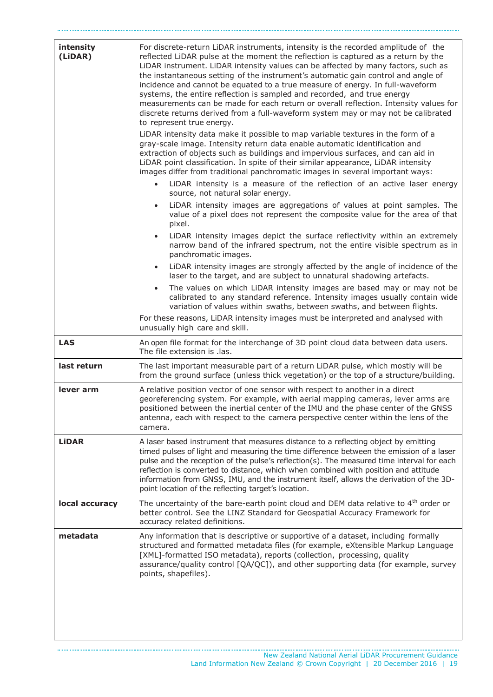| intensity<br>(LiDAR) | For discrete-return LiDAR instruments, intensity is the recorded amplitude of the<br>reflected LiDAR pulse at the moment the reflection is captured as a return by the<br>LiDAR instrument. LiDAR intensity values can be affected by many factors, such as<br>the instantaneous setting of the instrument's automatic gain control and angle of<br>incidence and cannot be equated to a true measure of energy. In full-waveform<br>systems, the entire reflection is sampled and recorded, and true energy<br>measurements can be made for each return or overall reflection. Intensity values for<br>discrete returns derived from a full-waveform system may or may not be calibrated<br>to represent true energy.<br>LiDAR intensity data make it possible to map variable textures in the form of a<br>gray-scale image. Intensity return data enable automatic identification and<br>extraction of objects such as buildings and impervious surfaces, and can aid in<br>LiDAR point classification. In spite of their similar appearance, LiDAR intensity<br>images differ from traditional panchromatic images in several important ways:<br>LiDAR intensity is a measure of the reflection of an active laser energy<br>source, not natural solar energy.<br>LiDAR intensity images are aggregations of values at point samples. The<br>$\bullet$<br>value of a pixel does not represent the composite value for the area of that<br>pixel.<br>LiDAR intensity images depict the surface reflectivity within an extremely<br>$\bullet$<br>narrow band of the infrared spectrum, not the entire visible spectrum as in<br>panchromatic images.<br>LiDAR intensity images are strongly affected by the angle of incidence of the<br>$\bullet$<br>laser to the target, and are subject to unnatural shadowing artefacts.<br>The values on which LiDAR intensity images are based may or may not be<br>calibrated to any standard reference. Intensity images usually contain wide<br>variation of values within swaths, between swaths, and between flights.<br>For these reasons, LiDAR intensity images must be interpreted and analysed with |
|----------------------|-------------------------------------------------------------------------------------------------------------------------------------------------------------------------------------------------------------------------------------------------------------------------------------------------------------------------------------------------------------------------------------------------------------------------------------------------------------------------------------------------------------------------------------------------------------------------------------------------------------------------------------------------------------------------------------------------------------------------------------------------------------------------------------------------------------------------------------------------------------------------------------------------------------------------------------------------------------------------------------------------------------------------------------------------------------------------------------------------------------------------------------------------------------------------------------------------------------------------------------------------------------------------------------------------------------------------------------------------------------------------------------------------------------------------------------------------------------------------------------------------------------------------------------------------------------------------------------------------------------------------------------------------------------------------------------------------------------------------------------------------------------------------------------------------------------------------------------------------------------------------------------------------------------------------------------------------------------------------------------------------------------------------------------------------------------------------------------------------------------------------------------------------------|
| <b>LAS</b>           | unusually high care and skill.                                                                                                                                                                                                                                                                                                                                                                                                                                                                                                                                                                                                                                                                                                                                                                                                                                                                                                                                                                                                                                                                                                                                                                                                                                                                                                                                                                                                                                                                                                                                                                                                                                                                                                                                                                                                                                                                                                                                                                                                                                                                                                                        |
|                      | An open file format for the interchange of 3D point cloud data between data users.<br>The file extension is .las.                                                                                                                                                                                                                                                                                                                                                                                                                                                                                                                                                                                                                                                                                                                                                                                                                                                                                                                                                                                                                                                                                                                                                                                                                                                                                                                                                                                                                                                                                                                                                                                                                                                                                                                                                                                                                                                                                                                                                                                                                                     |
| last return          | The last important measurable part of a return LiDAR pulse, which mostly will be<br>from the ground surface (unless thick vegetation) or the top of a structure/building.                                                                                                                                                                                                                                                                                                                                                                                                                                                                                                                                                                                                                                                                                                                                                                                                                                                                                                                                                                                                                                                                                                                                                                                                                                                                                                                                                                                                                                                                                                                                                                                                                                                                                                                                                                                                                                                                                                                                                                             |
| lever arm            | A relative position vector of one sensor with respect to another in a direct<br>georeferencing system. For example, with aerial mapping cameras, lever arms are<br>positioned between the inertial center of the IMU and the phase center of the GNSS<br>antenna, each with respect to the camera perspective center within the lens of the<br>camera.                                                                                                                                                                                                                                                                                                                                                                                                                                                                                                                                                                                                                                                                                                                                                                                                                                                                                                                                                                                                                                                                                                                                                                                                                                                                                                                                                                                                                                                                                                                                                                                                                                                                                                                                                                                                |
| <b>LiDAR</b>         | A laser based instrument that measures distance to a reflecting object by emitting<br>timed pulses of light and measuring the time difference between the emission of a laser<br>pulse and the reception of the pulse's reflection(s). The measured time interval for each<br>reflection is converted to distance, which when combined with position and attitude<br>information from GNSS, IMU, and the instrument itself, allows the derivation of the 3D-<br>point location of the reflecting target's location.                                                                                                                                                                                                                                                                                                                                                                                                                                                                                                                                                                                                                                                                                                                                                                                                                                                                                                                                                                                                                                                                                                                                                                                                                                                                                                                                                                                                                                                                                                                                                                                                                                   |
| local accuracy       | The uncertainty of the bare-earth point cloud and DEM data relative to 4 <sup>th</sup> order or<br>better control. See the LINZ Standard for Geospatial Accuracy Framework for<br>accuracy related definitions.                                                                                                                                                                                                                                                                                                                                                                                                                                                                                                                                                                                                                                                                                                                                                                                                                                                                                                                                                                                                                                                                                                                                                                                                                                                                                                                                                                                                                                                                                                                                                                                                                                                                                                                                                                                                                                                                                                                                       |
| metadata             | Any information that is descriptive or supportive of a dataset, including formally<br>structured and formatted metadata files (for example, eXtensible Markup Language<br>[XML]-formatted ISO metadata), reports (collection, processing, quality<br>assurance/quality control [QA/QC]), and other supporting data (for example, survey<br>points, shapefiles).                                                                                                                                                                                                                                                                                                                                                                                                                                                                                                                                                                                                                                                                                                                                                                                                                                                                                                                                                                                                                                                                                                                                                                                                                                                                                                                                                                                                                                                                                                                                                                                                                                                                                                                                                                                       |

. . . . . . . . .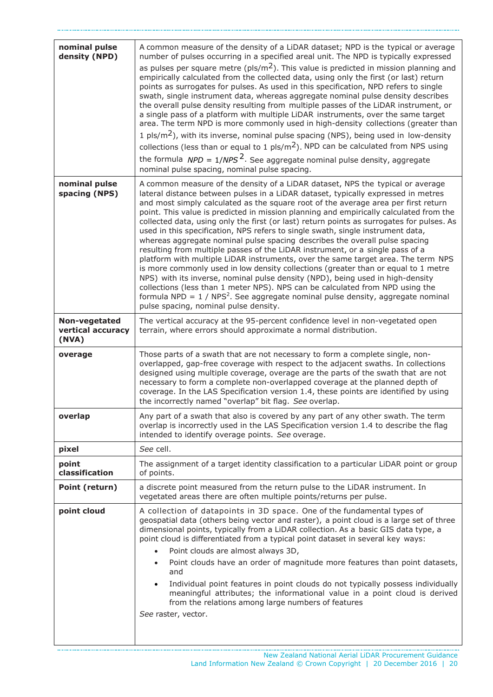| nominal pulse<br>density (NPD)              | A common measure of the density of a LiDAR dataset; NPD is the typical or average<br>number of pulses occurring in a specified areal unit. The NPD is typically expressed<br>as pulses per square metre ( $pls/m2$ ). This value is predicted in mission planning and<br>empirically calculated from the collected data, using only the first (or last) return<br>points as surrogates for pulses. As used in this specification, NPD refers to single<br>swath, single instrument data, whereas aggregate nominal pulse density describes<br>the overall pulse density resulting from multiple passes of the LiDAR instrument, or<br>a single pass of a platform with multiple LiDAR instruments, over the same target<br>area. The term NPD is more commonly used in high-density collections (greater than<br>1 pls/m <sup>2</sup> ), with its inverse, nominal pulse spacing (NPS), being used in low-density<br>collections (less than or equal to 1 $p/s/m^2$ ). NPD can be calculated from NPS using<br>the formula $NPD = 1/NPS2$ . See aggregate nominal pulse density, aggregate<br>nominal pulse spacing, nominal pulse spacing.                                                 |  |  |
|---------------------------------------------|---------------------------------------------------------------------------------------------------------------------------------------------------------------------------------------------------------------------------------------------------------------------------------------------------------------------------------------------------------------------------------------------------------------------------------------------------------------------------------------------------------------------------------------------------------------------------------------------------------------------------------------------------------------------------------------------------------------------------------------------------------------------------------------------------------------------------------------------------------------------------------------------------------------------------------------------------------------------------------------------------------------------------------------------------------------------------------------------------------------------------------------------------------------------------------------------|--|--|
| nominal pulse<br>spacing (NPS)              | A common measure of the density of a LiDAR dataset, NPS the typical or average<br>lateral distance between pulses in a LiDAR dataset, typically expressed in metres<br>and most simply calculated as the square root of the average area per first return<br>point. This value is predicted in mission planning and empirically calculated from the<br>collected data, using only the first (or last) return points as surrogates for pulses. As<br>used in this specification, NPS refers to single swath, single instrument data,<br>whereas aggregate nominal pulse spacing describes the overall pulse spacing<br>resulting from multiple passes of the LiDAR instrument, or a single pass of a<br>platform with multiple LiDAR instruments, over the same target area. The term NPS<br>is more commonly used in low density collections (greater than or equal to 1 metre<br>NPS) with its inverse, nominal pulse density (NPD), being used in high-density<br>collections (less than 1 meter NPS). NPS can be calculated from NPD using the<br>formula NPD = $1 /$ NPS <sup>2</sup> . See aggregate nominal pulse density, aggregate nominal<br>pulse spacing, nominal pulse density. |  |  |
| Non-vegetated<br>vertical accuracy<br>(NVA) | The vertical accuracy at the 95-percent confidence level in non-vegetated open<br>terrain, where errors should approximate a normal distribution.                                                                                                                                                                                                                                                                                                                                                                                                                                                                                                                                                                                                                                                                                                                                                                                                                                                                                                                                                                                                                                           |  |  |
| overage                                     | Those parts of a swath that are not necessary to form a complete single, non-<br>overlapped, gap-free coverage with respect to the adjacent swaths. In collections<br>designed using multiple coverage, overage are the parts of the swath that are not<br>necessary to form a complete non-overlapped coverage at the planned depth of<br>coverage. In the LAS Specification version 1.4, these points are identified by using<br>the incorrectly named "overlap" bit flag. See overlap.                                                                                                                                                                                                                                                                                                                                                                                                                                                                                                                                                                                                                                                                                                   |  |  |
| overlap                                     | Any part of a swath that also is covered by any part of any other swath. The term<br>overlap is incorrectly used in the LAS Specification version 1.4 to describe the flag<br>intended to identify overage points. See overage.                                                                                                                                                                                                                                                                                                                                                                                                                                                                                                                                                                                                                                                                                                                                                                                                                                                                                                                                                             |  |  |
| pixel                                       | See cell.                                                                                                                                                                                                                                                                                                                                                                                                                                                                                                                                                                                                                                                                                                                                                                                                                                                                                                                                                                                                                                                                                                                                                                                   |  |  |
| point<br>classification                     | The assignment of a target identity classification to a particular LiDAR point or group<br>of points.                                                                                                                                                                                                                                                                                                                                                                                                                                                                                                                                                                                                                                                                                                                                                                                                                                                                                                                                                                                                                                                                                       |  |  |
| Point (return)                              | a discrete point measured from the return pulse to the LiDAR instrument. In<br>vegetated areas there are often multiple points/returns per pulse.                                                                                                                                                                                                                                                                                                                                                                                                                                                                                                                                                                                                                                                                                                                                                                                                                                                                                                                                                                                                                                           |  |  |
| point cloud                                 | A collection of datapoints in 3D space. One of the fundamental types of<br>geospatial data (others being vector and raster), a point cloud is a large set of three<br>dimensional points, typically from a LiDAR collection. As a basic GIS data type, a<br>point cloud is differentiated from a typical point dataset in several key ways:<br>Point clouds are almost always 3D,<br>$\bullet$<br>Point clouds have an order of magnitude more features than point datasets,<br>and<br>Individual point features in point clouds do not typically possess individually<br>meaningful attributes; the informational value in a point cloud is derived<br>from the relations among large numbers of features<br>See raster, vector.                                                                                                                                                                                                                                                                                                                                                                                                                                                           |  |  |

........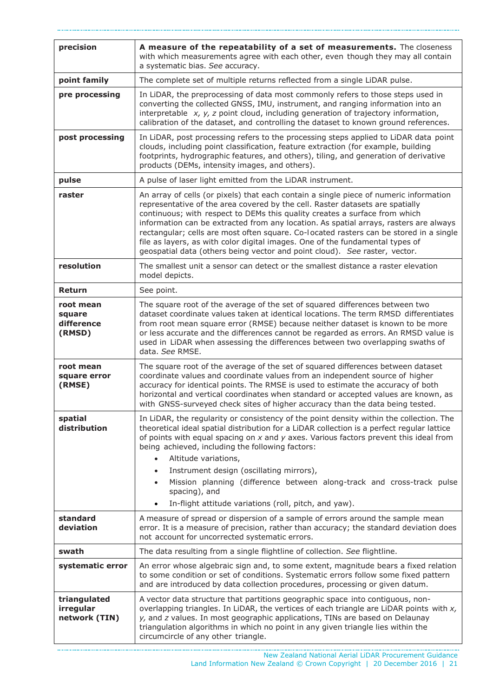| precision                                   | A measure of the repeatability of a set of measurements. The closeness<br>with which measurements agree with each other, even though they may all contain<br>a systematic bias. See accuracy.                                                                                                                                                                                                                                                                                                                                                                                                          |
|---------------------------------------------|--------------------------------------------------------------------------------------------------------------------------------------------------------------------------------------------------------------------------------------------------------------------------------------------------------------------------------------------------------------------------------------------------------------------------------------------------------------------------------------------------------------------------------------------------------------------------------------------------------|
| point family                                | The complete set of multiple returns reflected from a single LiDAR pulse.                                                                                                                                                                                                                                                                                                                                                                                                                                                                                                                              |
| pre processing                              | In LiDAR, the preprocessing of data most commonly refers to those steps used in<br>converting the collected GNSS, IMU, instrument, and ranging information into an<br>interpretable $x$ , $y$ , $z$ point cloud, including generation of trajectory information,<br>calibration of the dataset, and controlling the dataset to known ground references.                                                                                                                                                                                                                                                |
| post processing                             | In LiDAR, post processing refers to the processing steps applied to LiDAR data point<br>clouds, including point classification, feature extraction (for example, building<br>footprints, hydrographic features, and others), tiling, and generation of derivative<br>products (DEMs, intensity images, and others).                                                                                                                                                                                                                                                                                    |
| pulse                                       | A pulse of laser light emitted from the LiDAR instrument.                                                                                                                                                                                                                                                                                                                                                                                                                                                                                                                                              |
| raster                                      | An array of cells (or pixels) that each contain a single piece of numeric information<br>representative of the area covered by the cell. Raster datasets are spatially<br>continuous; with respect to DEMs this quality creates a surface from which<br>information can be extracted from any location. As spatial arrays, rasters are always<br>rectangular; cells are most often square. Co-located rasters can be stored in a single<br>file as layers, as with color digital images. One of the fundamental types of<br>geospatial data (others being vector and point cloud). See raster, vector. |
| resolution                                  | The smallest unit a sensor can detect or the smallest distance a raster elevation<br>model depicts.                                                                                                                                                                                                                                                                                                                                                                                                                                                                                                    |
| Return                                      | See point.                                                                                                                                                                                                                                                                                                                                                                                                                                                                                                                                                                                             |
| root mean<br>square<br>difference<br>(RMSD) | The square root of the average of the set of squared differences between two<br>dataset coordinate values taken at identical locations. The term RMSD differentiates<br>from root mean square error (RMSE) because neither dataset is known to be more<br>or less accurate and the differences cannot be regarded as errors. An RMSD value is<br>used in LiDAR when assessing the differences between two overlapping swaths of<br>data. See RMSE.                                                                                                                                                     |
| root mean<br>square error<br>(RMSE)         | The square root of the average of the set of squared differences between dataset<br>coordinate values and coordinate values from an independent source of higher<br>accuracy for identical points. The RMSE is used to estimate the accuracy of both<br>horizontal and vertical coordinates when standard or accepted values are known, as<br>with GNSS-surveyed check sites of higher accuracy than the data being tested.                                                                                                                                                                            |
| spatial<br>distribution                     | In LiDAR, the regularity or consistency of the point density within the collection. The<br>theoretical ideal spatial distribution for a LiDAR collection is a perfect regular lattice<br>of points with equal spacing on $x$ and $y$ axes. Various factors prevent this ideal from<br>being achieved, including the following factors:<br>Altitude variations,<br>Instrument design (oscillating mirrors),<br>Mission planning (difference between along-track and cross-track pulse<br>spacing), and<br>In-flight attitude variations (roll, pitch, and yaw).                                         |
| standard<br>deviation                       | A measure of spread or dispersion of a sample of errors around the sample mean<br>error. It is a measure of precision, rather than accuracy; the standard deviation does<br>not account for uncorrected systematic errors.                                                                                                                                                                                                                                                                                                                                                                             |
| swath                                       | The data resulting from a single flightline of collection. See flightline.                                                                                                                                                                                                                                                                                                                                                                                                                                                                                                                             |
| systematic error                            | An error whose algebraic sign and, to some extent, magnitude bears a fixed relation<br>to some condition or set of conditions. Systematic errors follow some fixed pattern<br>and are introduced by data collection procedures, processing or given datum.                                                                                                                                                                                                                                                                                                                                             |
| triangulated<br>irregular<br>network (TIN)  | A vector data structure that partitions geographic space into contiguous, non-<br>overlapping triangles. In LiDAR, the vertices of each triangle are LiDAR points with $x$ ,<br>y, and z values. In most geographic applications, TINs are based on Delaunay<br>triangulation algorithms in which no point in any given triangle lies within the<br>circumcircle of any other triangle.                                                                                                                                                                                                                |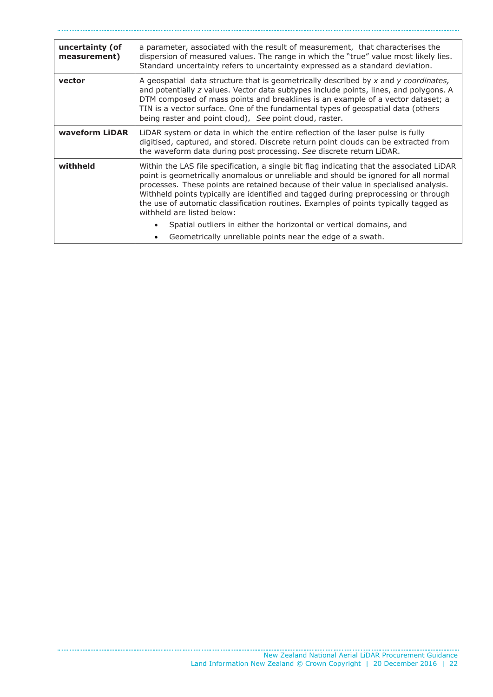| a parameter, associated with the result of measurement, that characterises the<br>dispersion of measured values. The range in which the "true" value most likely lies.<br>Standard uncertainty refers to uncertainty expressed as a standard deviation.                                                                                                                                                                                                                                                                                                                                                                               |  |
|---------------------------------------------------------------------------------------------------------------------------------------------------------------------------------------------------------------------------------------------------------------------------------------------------------------------------------------------------------------------------------------------------------------------------------------------------------------------------------------------------------------------------------------------------------------------------------------------------------------------------------------|--|
| A geospatial data structure that is geometrically described by $x$ and $y$ coordinates,<br>and potentially z values. Vector data subtypes include points, lines, and polygons. A<br>DTM composed of mass points and breaklines is an example of a vector dataset; a<br>TIN is a vector surface. One of the fundamental types of geospatial data (others<br>being raster and point cloud), See point cloud, raster.                                                                                                                                                                                                                    |  |
| LiDAR system or data in which the entire reflection of the laser pulse is fully<br>digitised, captured, and stored. Discrete return point clouds can be extracted from<br>the waveform data during post processing. See discrete return LiDAR.                                                                                                                                                                                                                                                                                                                                                                                        |  |
| Within the LAS file specification, a single bit flag indicating that the associated LiDAR<br>point is geometrically anomalous or unreliable and should be ignored for all normal<br>processes. These points are retained because of their value in specialised analysis.<br>Withheld points typically are identified and tagged during preprocessing or through<br>the use of automatic classification routines. Examples of points typically tagged as<br>withheld are listed below:<br>Spatial outliers in either the horizontal or vertical domains, and<br>$\bullet$<br>Geometrically unreliable points near the edge of a swath. |  |
|                                                                                                                                                                                                                                                                                                                                                                                                                                                                                                                                                                                                                                       |  |

. . . . . . . . . . .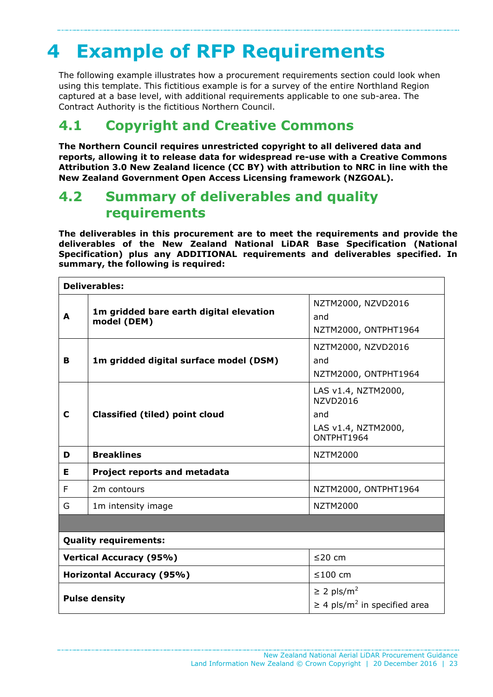# <span id="page-22-0"></span>**4 Example of RFP Requirements**

The following example illustrates how a procurement requirements section could look when using this template. This fictitious example is for a survey of the entire Northland Region captured at a base level, with additional requirements applicable to one sub-area. The Contract Authority is the fictitious Northern Council.

## <span id="page-22-1"></span>**4.1 Copyright and Creative Commons**

**The Northern Council requires unrestricted copyright to all delivered data and reports, allowing it to release data for widespread re-use with a Creative Commons Attribution 3.0 New Zealand licence (CC BY) with attribution to NRC in line with the New Zealand Government Open Access Licensing framework (NZGOAL).**

## <span id="page-22-2"></span>**4.2 Summary of deliverables and quality requirements**

**The deliverables in this procurement are to meet the requirements and provide the deliverables of the New Zealand National LiDAR Base Specification (National Specification) plus any ADDITIONAL requirements and deliverables specified. In summary, the following is required:**

| <b>Deliverables:</b>                                |                                                        |                                                                                    |  |
|-----------------------------------------------------|--------------------------------------------------------|------------------------------------------------------------------------------------|--|
| A                                                   | 1m gridded bare earth digital elevation<br>model (DEM) | NZTM2000, NZVD2016<br>and<br>NZTM2000, ONTPHT1964                                  |  |
| в                                                   | 1m gridded digital surface model (DSM)                 | NZTM2000, NZVD2016<br>and<br>NZTM2000, ONTPHT1964                                  |  |
| C                                                   | <b>Classified (tiled) point cloud</b>                  | LAS v1.4, NZTM2000,<br><b>NZVD2016</b><br>and<br>LAS v1.4, NZTM2000,<br>ONTPHT1964 |  |
| D                                                   | <b>Breaklines</b>                                      | <b>NZTM2000</b>                                                                    |  |
| Е                                                   | Project reports and metadata                           |                                                                                    |  |
| F                                                   | 2m contours                                            | NZTM2000, ONTPHT1964                                                               |  |
| G                                                   | 1m intensity image                                     | <b>NZTM2000</b>                                                                    |  |
|                                                     |                                                        |                                                                                    |  |
| <b>Quality requirements:</b>                        |                                                        |                                                                                    |  |
| <b>Vertical Accuracy (95%)</b><br>≤20 cm            |                                                        |                                                                                    |  |
| <b>Horizontal Accuracy (95%)</b><br>≤100 cm         |                                                        |                                                                                    |  |
| $\geq$ 2 pls/m <sup>2</sup><br><b>Pulse density</b> |                                                        | $\geq$ 4 pls/m <sup>2</sup> in specified area                                      |  |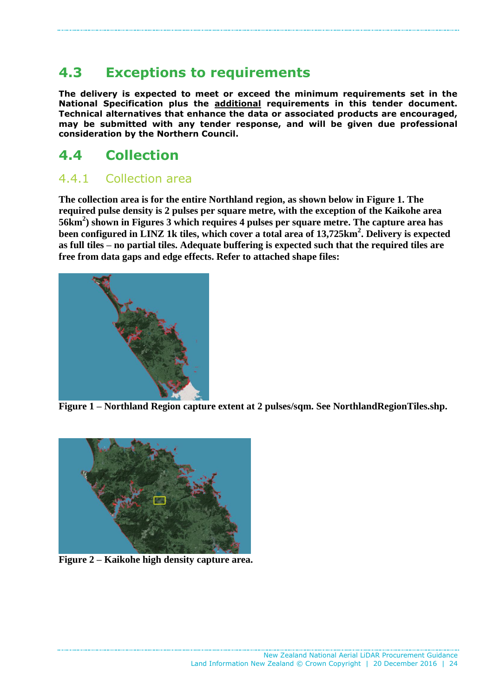## <span id="page-23-0"></span>**4.3 Exceptions to requirements**

**The delivery is expected to meet or exceed the minimum requirements set in the National Specification plus the additional requirements in this tender document. Technical alternatives that enhance the data or associated products are encouraged, may be submitted with any tender response, and will be given due professional consideration by the Northern Council.**

## <span id="page-23-1"></span>**4.4 Collection**

## 4.4.1 Collection area

**The collection area is for the entire Northland region, as shown below in Figure 1. The required pulse density is 2 pulses per square metre, with the exception of the Kaikohe area 56km<sup>2</sup> ) shown in Figures 3 which requires 4 pulses per square metre. The capture area has been configured in LINZ 1k tiles, which cover a total area of 13,725km<sup>2</sup> . Delivery is expected as full tiles – no partial tiles. Adequate buffering is expected such that the required tiles are free from data gaps and edge effects. Refer to attached shape files:**



**Figure 1 – Northland Region capture extent at 2 pulses/sqm. See NorthlandRegionTiles.shp.**



**Figure 2 – Kaikohe high density capture area.**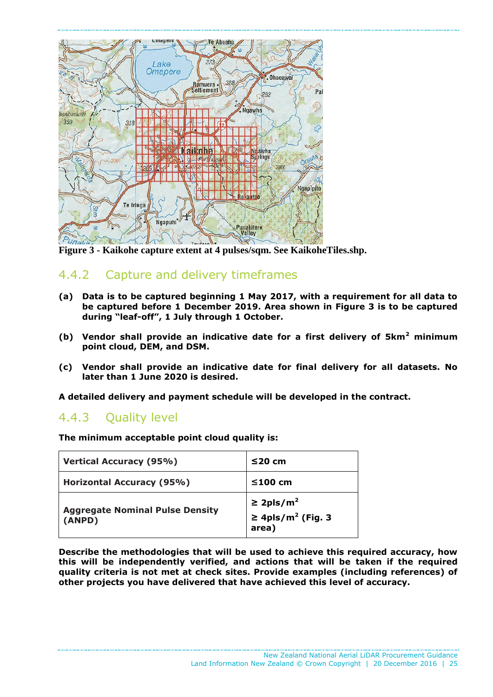

**Figure 3 - Kaikohe capture extent at 4 pulses/sqm. See KaikoheTiles.shp.**

## 4.4.2 Capture and delivery timeframes

- **(a) Data is to be captured beginning 1 May 2017, with a requirement for all data to be captured before 1 December 2019. Area shown in Figure 3 is to be captured during "leaf-off", 1 July through 1 October.**
- **(b) Vendor shall provide an indicative date for a first delivery of 5km<sup>2</sup> minimum point cloud, DEM, and DSM.**
- **(c) Vendor shall provide an indicative date for final delivery for all datasets. No later than 1 June 2020 is desired.**

**A detailed delivery and payment schedule will be developed in the contract.**

### 4.4.3 Quality level

**The minimum acceptable point cloud quality is:**

| <b>Vertical Accuracy (95%)</b>                   | $≤20$ cm                                                        |
|--------------------------------------------------|-----------------------------------------------------------------|
| <b>Horizontal Accuracy (95%)</b>                 | $≤100$ cm                                                       |
| <b>Aggregate Nominal Pulse Density</b><br>(ANPD) | ≥ 2pls/m <sup>2</sup><br>≥ 4pls/m <sup>2</sup> (Fig. 3<br>area) |

**Describe the methodologies that will be used to achieve this required accuracy, how this will be independently verified, and actions that will be taken if the required quality criteria is not met at check sites. Provide examples (including references) of other projects you have delivered that have achieved this level of accuracy.**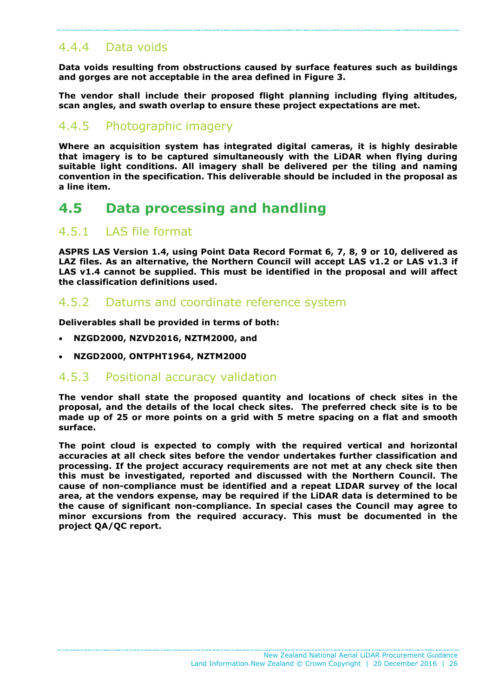### 4.4.4 Data voids

**Data voids resulting from obstructions caused by surface features such as buildings and gorges are not acceptable in the area defined in Figure 3.**

**The vendor shall include their proposed flight planning including flying altitudes, scan angles, and swath overlap to ensure these project expectations are met.**

### 4.4.5 Photographic imagery

**Where an acquisition system has integrated digital cameras, it is highly desirable that imagery is to be captured simultaneously with the LiDAR when flying during suitable light conditions. All imagery shall be delivered per the tiling and naming convention in the specification. This deliverable should be included in the proposal as a line item.**

## <span id="page-25-0"></span>**4.5 Data processing and handling**

### 4.5.1 LAS file format

**ASPRS LAS Version 1.4, using Point Data Record Format 6, 7, 8, 9 or 10, delivered as LAZ files. As an alternative, the Northern Council will accept LAS v1.2 or LAS v1.3 if LAS v1.4 cannot be supplied. This must be identified in the proposal and will affect the classification definitions used.**

### 4.5.2 Datums and coordinate reference system

**Deliverables shall be provided in terms of both:**

- **NZGD2000, NZVD2016, NZTM2000, and**
- **NZGD2000, ONTPHT1964, NZTM2000**

### 4.5.3 Positional accuracy validation

**The vendor shall state the proposed quantity and locations of check sites in the proposal, and the details of the local check sites. The preferred check site is to be made up of 25 or more points on a grid with 5 metre spacing on a flat and smooth surface.**

**The point cloud is expected to comply with the required vertical and horizontal accuracies at all check sites before the vendor undertakes further classification and processing. If the project accuracy requirements are not met at any check site then this must be investigated, reported and discussed with the Northern Council. The cause of non-compliance must be identified and a repeat LIDAR survey of the local area, at the vendors expense, may be required if the LiDAR data is determined to be the cause of significant non-compliance. In special cases the Council may agree to minor excursions from the required accuracy. This must be documented in the project QA/QC report.**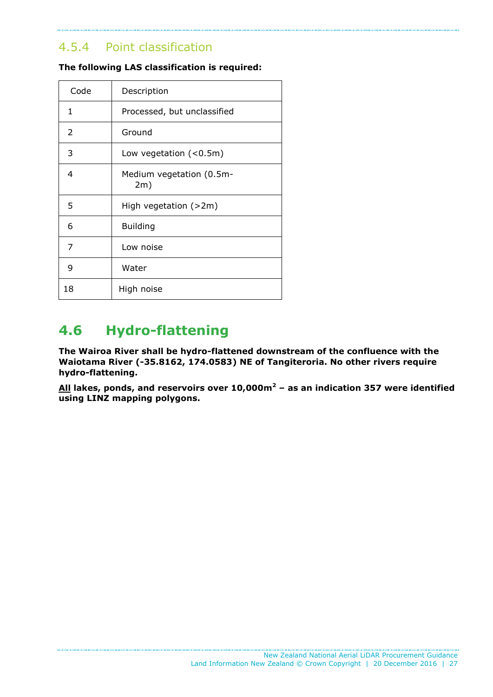## 4.5.4 Point classification

| Code | Description                     |
|------|---------------------------------|
| 1    | Processed, but unclassified     |
| 2    | Ground                          |
| 3    | Low vegetation $(0.5m)$         |
| 4    | Medium vegetation (0.5m-<br>2m) |
| 5    | High vegetation $(>2m)$         |
| 6    | <b>Building</b>                 |
| 7    | Low noise                       |
| 9    | Water                           |
| 18   | High noise                      |

#### **The following LAS classification is required:**

## <span id="page-26-0"></span>**4.6 Hydro-flattening**

**The Wairoa River shall be hydro-flattened downstream of the confluence with the Waiotama River (-35.8162, 174.0583) NE of Tangiteroria. No other rivers require hydro-flattening.**

**All lakes, ponds, and reservoirs over 10,000m<sup>2</sup> – as an indication 357 were identified using LINZ mapping polygons.**